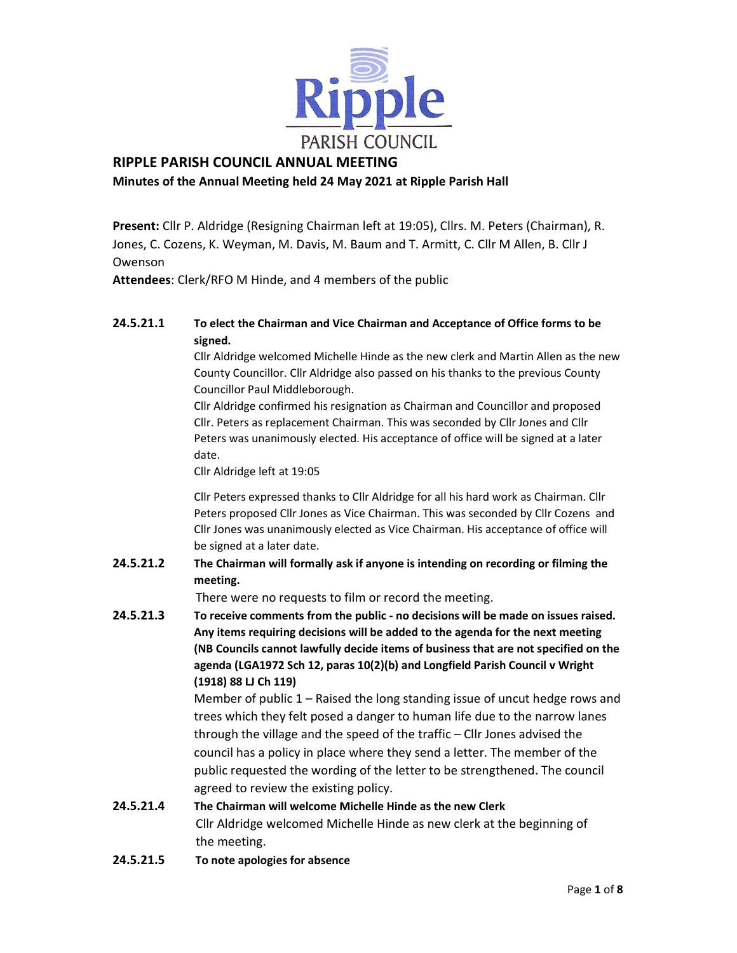

# RIPPLE PARISH COUNCIL ANNUAL MEETING

# Minutes of the Annual Meeting held 24 May 2021 at Ripple Parish Hall

Present: Cllr P. Aldridge (Resigning Chairman left at 19:05), Cllrs. M. Peters (Chairman), R. Jones, C. Cozens, K. Weyman, M. Davis, M. Baum and T. Armitt, C. Cllr M Allen, B. Cllr J Owenson

Attendees: Clerk/RFO M Hinde, and 4 members of the public

# 24.5.21.1 To elect the Chairman and Vice Chairman and Acceptance of Office forms to be signed.

Cllr Aldridge welcomed Michelle Hinde as the new clerk and Martin Allen as the new County Councillor. Cllr Aldridge also passed on his thanks to the previous County Councillor Paul Middleborough.

Cllr Aldridge confirmed his resignation as Chairman and Councillor and proposed Cllr. Peters as replacement Chairman. This was seconded by Cllr Jones and Cllr Peters was unanimously elected. His acceptance of office will be signed at a later date.

Cllr Aldridge left at 19:05

Cllr Peters expressed thanks to Cllr Aldridge for all his hard work as Chairman. Cllr Peters proposed Cllr Jones as Vice Chairman. This was seconded by Cllr Cozens and Cllr Jones was unanimously elected as Vice Chairman. His acceptance of office will be signed at a later date.

24.5.21.2 The Chairman will formally ask if anyone is intending on recording or filming the meeting.

There were no requests to film or record the meeting.

24.5.21.3 To receive comments from the public - no decisions will be made on issues raised. Any items requiring decisions will be added to the agenda for the next meeting (NB Councils cannot lawfully decide items of business that are not specified on the agenda (LGA1972 Sch 12, paras 10(2)(b) and Longfield Parish Council v Wright (1918) 88 LJ Ch 119)

> Member of public 1 – Raised the long standing issue of uncut hedge rows and trees which they felt posed a danger to human life due to the narrow lanes through the village and the speed of the traffic – Cllr Jones advised the council has a policy in place where they send a letter. The member of the public requested the wording of the letter to be strengthened. The council agreed to review the existing policy.

- 24.5.21.4 The Chairman will welcome Michelle Hinde as the new Clerk Cllr Aldridge welcomed Michelle Hinde as new clerk at the beginning of the meeting.
- 24.5.21.5 To note apologies for absence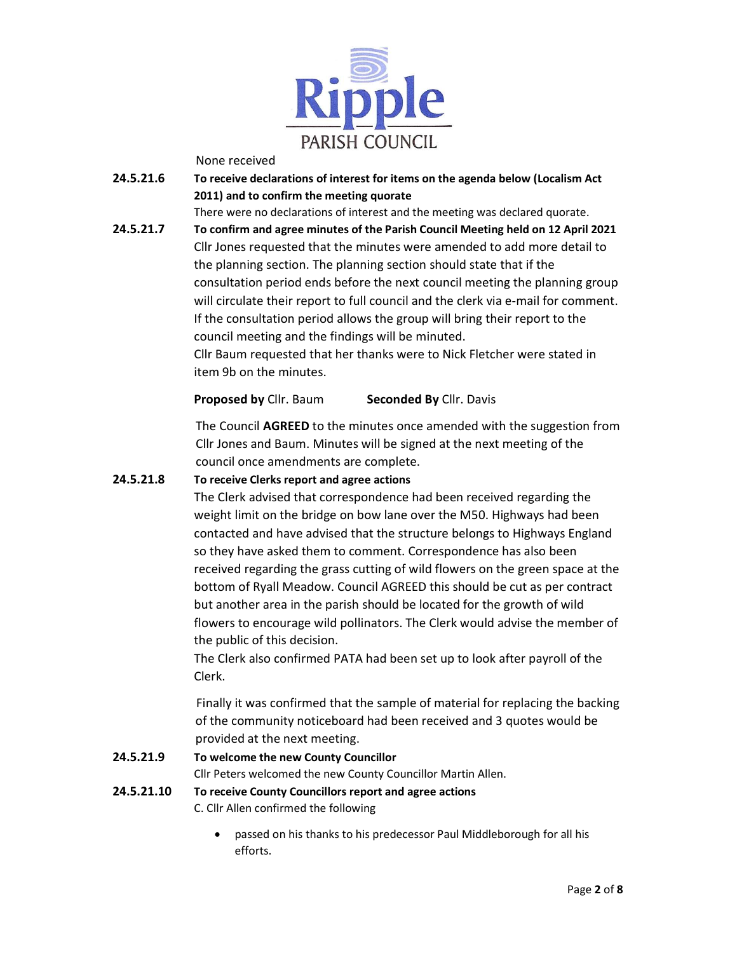

None received

24.5.21.6 To receive declarations of interest for items on the agenda below (Localism Act 2011) and to confirm the meeting quorate

There were no declarations of interest and the meeting was declared quorate.

24.5.21.7 To confirm and agree minutes of the Parish Council Meeting held on 12 April 2021 Cllr Jones requested that the minutes were amended to add more detail to the planning section. The planning section should state that if the consultation period ends before the next council meeting the planning group will circulate their report to full council and the clerk via e-mail for comment. If the consultation period allows the group will bring their report to the council meeting and the findings will be minuted.

Cllr Baum requested that her thanks were to Nick Fletcher were stated in item 9b on the minutes.

**Proposed by Cllr. Baum Seconded By Cllr. Davis** 

 The Council AGREED to the minutes once amended with the suggestion from Cllr Jones and Baum. Minutes will be signed at the next meeting of the council once amendments are complete.

## 24.5.21.8 To receive Clerks report and agree actions

The Clerk advised that correspondence had been received regarding the weight limit on the bridge on bow lane over the M50. Highways had been contacted and have advised that the structure belongs to Highways England so they have asked them to comment. Correspondence has also been received regarding the grass cutting of wild flowers on the green space at the bottom of Ryall Meadow. Council AGREED this should be cut as per contract but another area in the parish should be located for the growth of wild flowers to encourage wild pollinators. The Clerk would advise the member of the public of this decision.

The Clerk also confirmed PATA had been set up to look after payroll of the Clerk.

 Finally it was confirmed that the sample of material for replacing the backing of the community noticeboard had been received and 3 quotes would be provided at the next meeting.

### 24.5.21.9 To welcome the new County Councillor

Cllr Peters welcomed the new County Councillor Martin Allen.

24.5.21.10 To receive County Councillors report and agree actions

C. Cllr Allen confirmed the following

 passed on his thanks to his predecessor Paul Middleborough for all his efforts.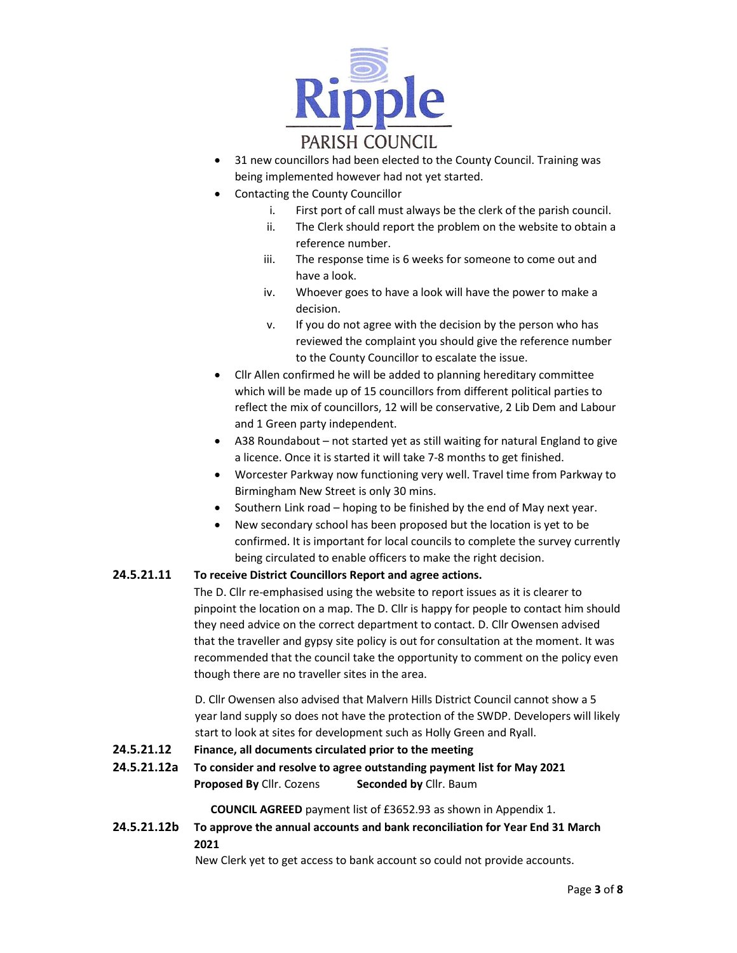

- 31 new councillors had been elected to the County Council. Training was being implemented however had not yet started.
- Contacting the County Councillor
	- i. First port of call must always be the clerk of the parish council.
	- ii. The Clerk should report the problem on the website to obtain a reference number.
	- iii. The response time is 6 weeks for someone to come out and have a look.
	- iv. Whoever goes to have a look will have the power to make a decision.
	- v. If you do not agree with the decision by the person who has reviewed the complaint you should give the reference number to the County Councillor to escalate the issue.
- Cllr Allen confirmed he will be added to planning hereditary committee which will be made up of 15 councillors from different political parties to reflect the mix of councillors, 12 will be conservative, 2 Lib Dem and Labour and 1 Green party independent.
- A38 Roundabout not started yet as still waiting for natural England to give a licence. Once it is started it will take 7-8 months to get finished.
- Worcester Parkway now functioning very well. Travel time from Parkway to Birmingham New Street is only 30 mins.
- Southern Link road hoping to be finished by the end of May next year.
- New secondary school has been proposed but the location is yet to be confirmed. It is important for local councils to complete the survey currently being circulated to enable officers to make the right decision.

### 24.5.21.11 To receive District Councillors Report and agree actions.

The D. Cllr re-emphasised using the website to report issues as it is clearer to pinpoint the location on a map. The D. Cllr is happy for people to contact him should they need advice on the correct department to contact. D. Cllr Owensen advised that the traveller and gypsy site policy is out for consultation at the moment. It was recommended that the council take the opportunity to comment on the policy even though there are no traveller sites in the area.

 D. Cllr Owensen also advised that Malvern Hills District Council cannot show a 5 year land supply so does not have the protection of the SWDP. Developers will likely start to look at sites for development such as Holly Green and Ryall.

- 24.5.21.12 Finance, all documents circulated prior to the meeting
- 24.5.21.12a To consider and resolve to agree outstanding payment list for May 2021 Proposed By Cllr. Cozens Seconded by Cllr. Baum

COUNCIL AGREED payment list of £3652.93 as shown in Appendix 1.

24.5.21.12b To approve the annual accounts and bank reconciliation for Year End 31 March 2021

New Clerk yet to get access to bank account so could not provide accounts.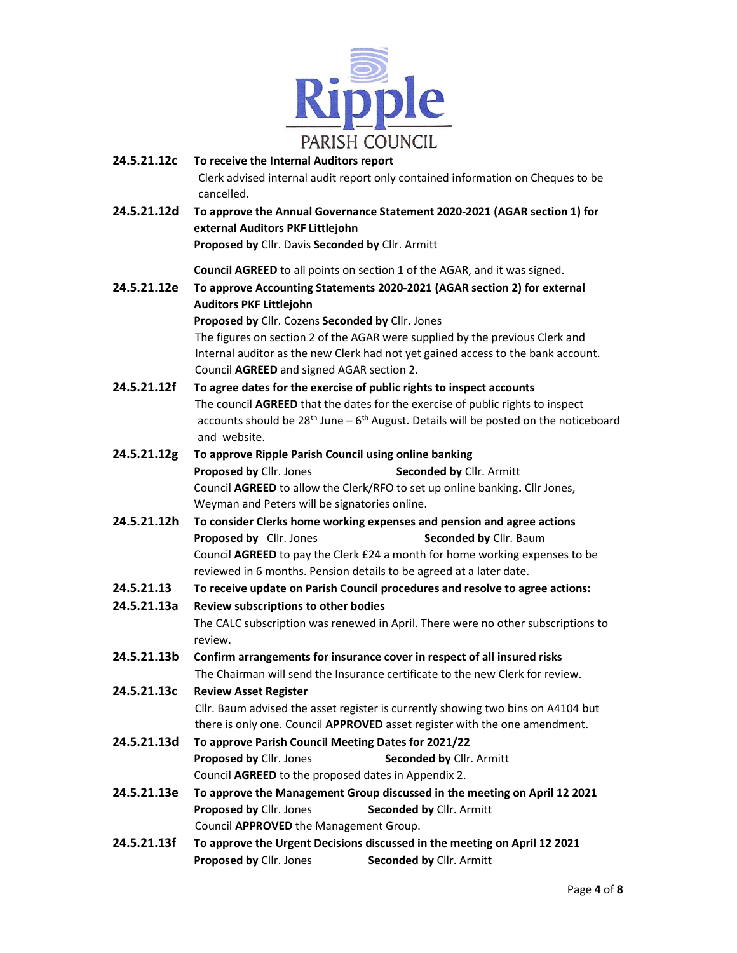

| 24.5.21.12c | To receive the Internal Auditors report<br>Clerk advised internal audit report only contained information on Cheques to be                                                      |  |  |  |  |  |
|-------------|---------------------------------------------------------------------------------------------------------------------------------------------------------------------------------|--|--|--|--|--|
| 24.5.21.12d | cancelled.<br>To approve the Annual Governance Statement 2020-2021 (AGAR section 1) for<br>external Auditors PKF Littlejohn<br>Proposed by Cllr. Davis Seconded by Cllr. Armitt |  |  |  |  |  |
|             | Council AGREED to all points on section 1 of the AGAR, and it was signed.                                                                                                       |  |  |  |  |  |
| 24.5.21.12e | To approve Accounting Statements 2020-2021 (AGAR section 2) for external                                                                                                        |  |  |  |  |  |
|             | <b>Auditors PKF Littlejohn</b><br>Proposed by Cllr. Cozens Seconded by Cllr. Jones                                                                                              |  |  |  |  |  |
|             | The figures on section 2 of the AGAR were supplied by the previous Clerk and                                                                                                    |  |  |  |  |  |
|             | Internal auditor as the new Clerk had not yet gained access to the bank account.                                                                                                |  |  |  |  |  |
|             | Council AGREED and signed AGAR section 2.                                                                                                                                       |  |  |  |  |  |
| 24.5.21.12f | To agree dates for the exercise of public rights to inspect accounts                                                                                                            |  |  |  |  |  |
|             | The council AGREED that the dates for the exercise of public rights to inspect                                                                                                  |  |  |  |  |  |
|             | accounts should be $28^{th}$ June – $6^{th}$ August. Details will be posted on the noticeboard                                                                                  |  |  |  |  |  |
|             | and website.                                                                                                                                                                    |  |  |  |  |  |
| 24.5.21.12g | To approve Ripple Parish Council using online banking                                                                                                                           |  |  |  |  |  |
|             | Proposed by Cllr. Jones<br>Seconded by Cllr. Armitt                                                                                                                             |  |  |  |  |  |
|             | Council AGREED to allow the Clerk/RFO to set up online banking. Cllr Jones,                                                                                                     |  |  |  |  |  |
|             | Weyman and Peters will be signatories online.                                                                                                                                   |  |  |  |  |  |
| 24.5.21.12h | To consider Clerks home working expenses and pension and agree actions                                                                                                          |  |  |  |  |  |
|             | Proposed by Cllr. Jones<br>Seconded by Cllr. Baum                                                                                                                               |  |  |  |  |  |
|             | Council AGREED to pay the Clerk £24 a month for home working expenses to be                                                                                                     |  |  |  |  |  |
|             | reviewed in 6 months. Pension details to be agreed at a later date.                                                                                                             |  |  |  |  |  |
| 24.5.21.13  | To receive update on Parish Council procedures and resolve to agree actions:                                                                                                    |  |  |  |  |  |
| 24.5.21.13a | Review subscriptions to other bodies                                                                                                                                            |  |  |  |  |  |
|             | The CALC subscription was renewed in April. There were no other subscriptions to<br>review.                                                                                     |  |  |  |  |  |
| 24.5.21.13b | Confirm arrangements for insurance cover in respect of all insured risks                                                                                                        |  |  |  |  |  |
|             | The Chairman will send the Insurance certificate to the new Clerk for review.                                                                                                   |  |  |  |  |  |
| 24.5.21.13c | <b>Review Asset Register</b>                                                                                                                                                    |  |  |  |  |  |
|             | Cllr. Baum advised the asset register is currently showing two bins on A4104 but                                                                                                |  |  |  |  |  |
|             | there is only one. Council APPROVED asset register with the one amendment.                                                                                                      |  |  |  |  |  |
| 24.5.21.13d | To approve Parish Council Meeting Dates for 2021/22                                                                                                                             |  |  |  |  |  |
|             | Proposed by Cllr. Jones<br>Seconded by Cllr. Armitt                                                                                                                             |  |  |  |  |  |
|             | Council AGREED to the proposed dates in Appendix 2.                                                                                                                             |  |  |  |  |  |
| 24.5.21.13e | To approve the Management Group discussed in the meeting on April 12 2021                                                                                                       |  |  |  |  |  |
|             | Proposed by Cllr. Jones<br>Seconded by Cllr. Armitt                                                                                                                             |  |  |  |  |  |
|             | Council APPROVED the Management Group.                                                                                                                                          |  |  |  |  |  |
| 24.5.21.13f | To approve the Urgent Decisions discussed in the meeting on April 12 2021                                                                                                       |  |  |  |  |  |
|             | Proposed by Cllr. Jones<br>Seconded by Cllr. Armitt                                                                                                                             |  |  |  |  |  |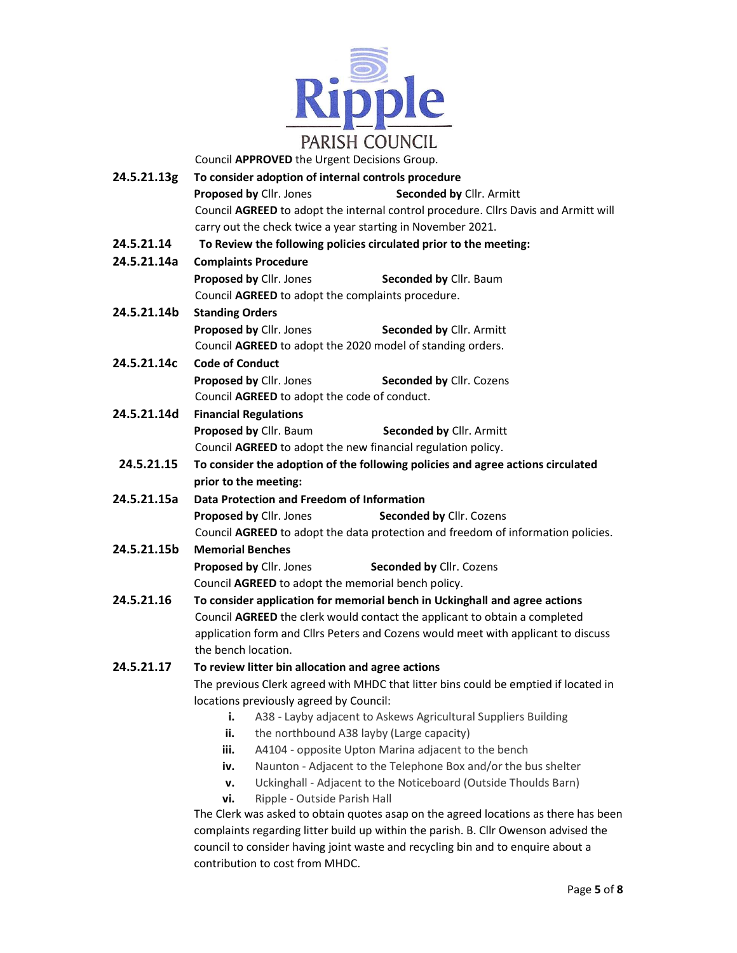

Council APPROVED the Urgent Decisions Group.

| 24.5.21.13g | To consider adoption of internal controls procedure                                                                                                                                                                                                           |  |  |  |  |  |  |
|-------------|---------------------------------------------------------------------------------------------------------------------------------------------------------------------------------------------------------------------------------------------------------------|--|--|--|--|--|--|
|             | Proposed by Cllr. Jones<br><b>Seconded by Cllr. Armitt</b>                                                                                                                                                                                                    |  |  |  |  |  |  |
|             | Council AGREED to adopt the internal control procedure. Cllrs Davis and Armitt will                                                                                                                                                                           |  |  |  |  |  |  |
|             | carry out the check twice a year starting in November 2021.                                                                                                                                                                                                   |  |  |  |  |  |  |
| 24.5.21.14  | To Review the following policies circulated prior to the meeting:                                                                                                                                                                                             |  |  |  |  |  |  |
| 24.5.21.14a | <b>Complaints Procedure</b>                                                                                                                                                                                                                                   |  |  |  |  |  |  |
|             | Proposed by Cllr. Jones<br>Seconded by Cllr. Baum                                                                                                                                                                                                             |  |  |  |  |  |  |
|             | Council AGREED to adopt the complaints procedure.                                                                                                                                                                                                             |  |  |  |  |  |  |
| 24.5.21.14b | <b>Standing Orders</b>                                                                                                                                                                                                                                        |  |  |  |  |  |  |
|             | Proposed by Cllr. Jones<br>Seconded by Cllr. Armitt                                                                                                                                                                                                           |  |  |  |  |  |  |
|             | Council AGREED to adopt the 2020 model of standing orders.                                                                                                                                                                                                    |  |  |  |  |  |  |
| 24.5.21.14c | <b>Code of Conduct</b>                                                                                                                                                                                                                                        |  |  |  |  |  |  |
|             | Proposed by Cllr. Jones<br>Seconded by Cllr. Cozens                                                                                                                                                                                                           |  |  |  |  |  |  |
|             | Council AGREED to adopt the code of conduct.                                                                                                                                                                                                                  |  |  |  |  |  |  |
| 24.5.21.14d | <b>Financial Regulations</b>                                                                                                                                                                                                                                  |  |  |  |  |  |  |
|             | Proposed by Cllr. Baum<br><b>Seconded by Cllr. Armitt</b>                                                                                                                                                                                                     |  |  |  |  |  |  |
|             | Council AGREED to adopt the new financial regulation policy.                                                                                                                                                                                                  |  |  |  |  |  |  |
| 24.5.21.15  | To consider the adoption of the following policies and agree actions circulated                                                                                                                                                                               |  |  |  |  |  |  |
|             | prior to the meeting:                                                                                                                                                                                                                                         |  |  |  |  |  |  |
| 24.5.21.15a | Data Protection and Freedom of Information                                                                                                                                                                                                                    |  |  |  |  |  |  |
|             | Proposed by Cllr. Jones<br>Seconded by Cllr. Cozens                                                                                                                                                                                                           |  |  |  |  |  |  |
|             | Council AGREED to adopt the data protection and freedom of information policies.                                                                                                                                                                              |  |  |  |  |  |  |
| 24.5.21.15b | <b>Memorial Benches</b>                                                                                                                                                                                                                                       |  |  |  |  |  |  |
|             | Proposed by Cllr. Jones<br>Seconded by Cllr. Cozens                                                                                                                                                                                                           |  |  |  |  |  |  |
|             | Council AGREED to adopt the memorial bench policy.                                                                                                                                                                                                            |  |  |  |  |  |  |
| 24.5.21.16  | To consider application for memorial bench in Uckinghall and agree actions                                                                                                                                                                                    |  |  |  |  |  |  |
|             | Council AGREED the clerk would contact the applicant to obtain a completed                                                                                                                                                                                    |  |  |  |  |  |  |
|             | application form and Cllrs Peters and Cozens would meet with applicant to discuss                                                                                                                                                                             |  |  |  |  |  |  |
|             | the bench location.                                                                                                                                                                                                                                           |  |  |  |  |  |  |
| 24.5.21.17  | To review litter bin allocation and agree actions                                                                                                                                                                                                             |  |  |  |  |  |  |
|             | The previous Clerk agreed with MHDC that litter bins could be emptied if located in                                                                                                                                                                           |  |  |  |  |  |  |
|             | locations previously agreed by Council:                                                                                                                                                                                                                       |  |  |  |  |  |  |
|             | i.<br>A38 - Layby adjacent to Askews Agricultural Suppliers Building                                                                                                                                                                                          |  |  |  |  |  |  |
|             | ii.<br>the northbound A38 layby (Large capacity)                                                                                                                                                                                                              |  |  |  |  |  |  |
|             | iii.<br>A4104 - opposite Upton Marina adjacent to the bench                                                                                                                                                                                                   |  |  |  |  |  |  |
|             | Naunton - Adjacent to the Telephone Box and/or the bus shelter<br>iv.                                                                                                                                                                                         |  |  |  |  |  |  |
|             | Uckinghall - Adjacent to the Noticeboard (Outside Thoulds Barn)<br>v.                                                                                                                                                                                         |  |  |  |  |  |  |
|             | Ripple - Outside Parish Hall<br>vi.                                                                                                                                                                                                                           |  |  |  |  |  |  |
|             |                                                                                                                                                                                                                                                               |  |  |  |  |  |  |
|             |                                                                                                                                                                                                                                                               |  |  |  |  |  |  |
|             | The Clerk was asked to obtain quotes asap on the agreed locations as there has been<br>complaints regarding litter build up within the parish. B. Cllr Owenson advised the<br>council to consider having joint waste and recycling bin and to enquire about a |  |  |  |  |  |  |

contribution to cost from MHDC.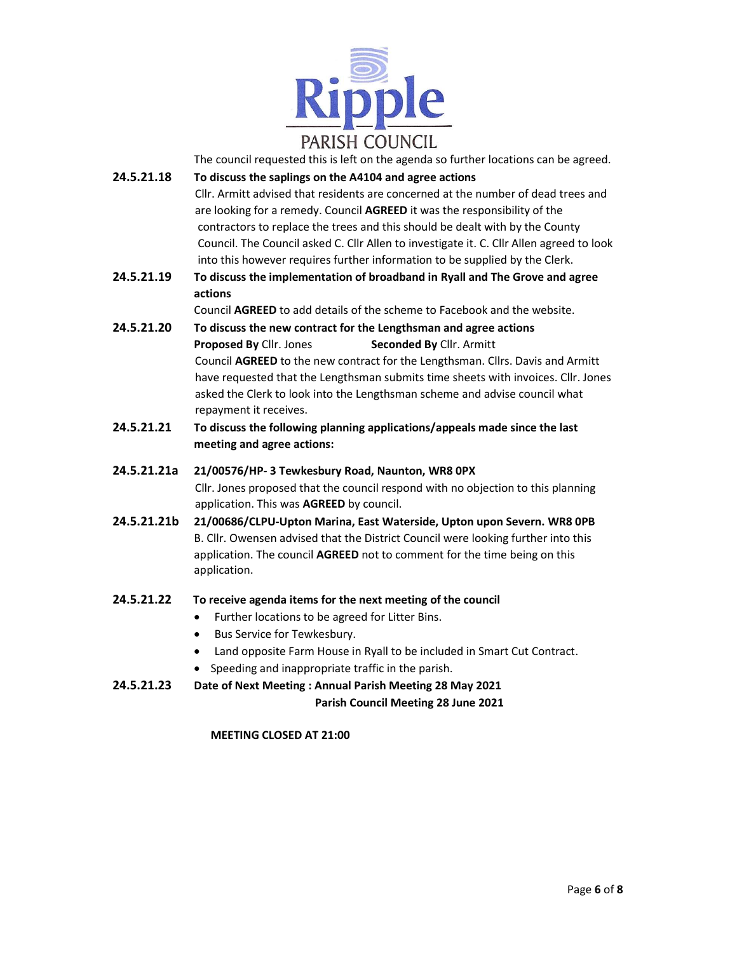

The council requested this is left on the agenda so further locations can be agreed.

- 24.5.21.18 To discuss the saplings on the A4104 and agree actions Cllr. Armitt advised that residents are concerned at the number of dead trees and are looking for a remedy. Council AGREED it was the responsibility of the contractors to replace the trees and this should be dealt with by the County Council. The Council asked C. Cllr Allen to investigate it. C. Cllr Allen agreed to look into this however requires further information to be supplied by the Clerk.
- 24.5.21.19 To discuss the implementation of broadband in Ryall and The Grove and agree actions

Council AGREED to add details of the scheme to Facebook and the website.

- 24.5.21.20 To discuss the new contract for the Lengthsman and agree actions Proposed By Cllr. Jones Seconded By Cllr. Armitt Council AGREED to the new contract for the Lengthsman. Cllrs. Davis and Armitt have requested that the Lengthsman submits time sheets with invoices. Cllr. Jones asked the Clerk to look into the Lengthsman scheme and advise council what repayment it receives.
- 24.5.21.21 To discuss the following planning applications/appeals made since the last meeting and agree actions:
- 24.5.21.21a 21/00576/HP- 3 Tewkesbury Road, Naunton, WR8 0PX Cllr. Jones proposed that the council respond with no objection to this planning application. This was AGREED by council.
- 24.5.21.21b 21/00686/CLPU-Upton Marina, East Waterside, Upton upon Severn. WR8 0PB B. Cllr. Owensen advised that the District Council were looking further into this application. The council AGREED not to comment for the time being on this application.

#### 24.5.21.22 To receive agenda items for the next meeting of the council

- Further locations to be agreed for Litter Bins.
- **Bus Service for Tewkesbury.**
- Land opposite Farm House in Ryall to be included in Smart Cut Contract.
- Speeding and inappropriate traffic in the parish.
- 24.5.21.23 Date of Next Meeting : Annual Parish Meeting 28 May 2021

#### Parish Council Meeting 28 June 2021

#### MEETING CLOSED AT 21:00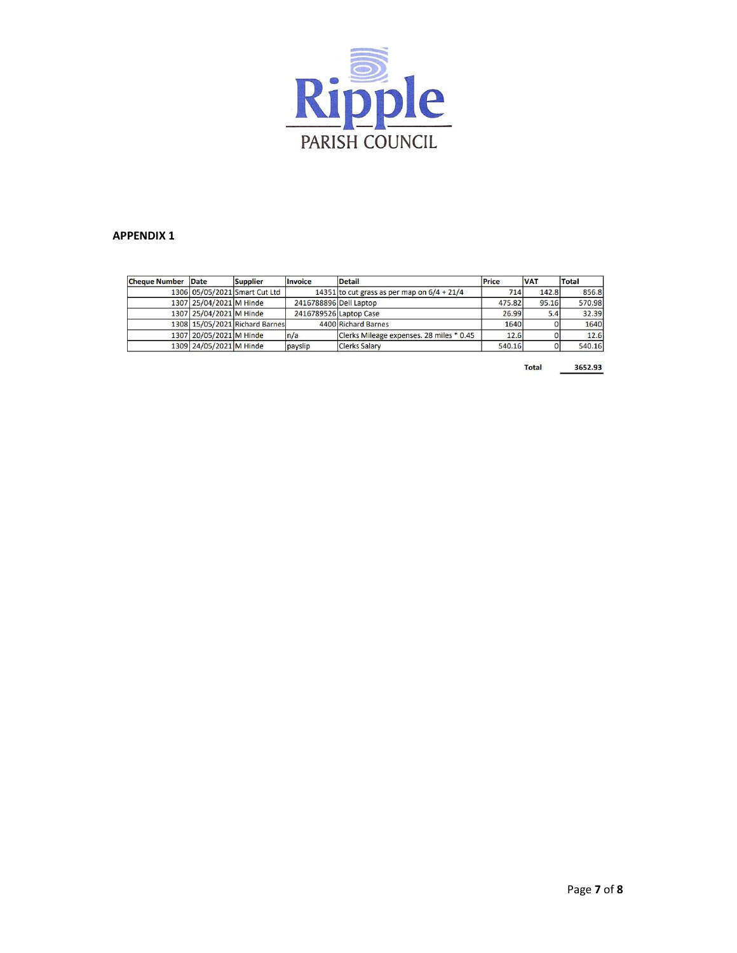

#### APPENDIX 1

| <b>Cheque Number Date</b> |                         | <b>Supplier</b>                | <b>Invoice</b>         | <b>Detail</b>                                 | Price  | <b>VAT</b> | Total  |
|---------------------------|-------------------------|--------------------------------|------------------------|-----------------------------------------------|--------|------------|--------|
|                           |                         | 1306 05/05/2021 Smart Cut Ltd  |                        | 14351 to cut grass as per map on $6/4 + 21/4$ | 714    | 142.8      | 856.8  |
|                           | 1307 25/04/2021 M Hinde |                                | 2416788896 Dell Laptop |                                               | 475.82 | 95.16      | 570.98 |
|                           | 1307 25/04/2021 M Hinde |                                |                        | 2416789526 Laptop Case                        | 26.99  | 5.4        | 32.39  |
|                           |                         | 1308 15/05/2021 Richard Barnes |                        | 4400 Richard Barnes                           | 1640   |            | 1640   |
|                           | 1307 20/05/2021 M Hinde |                                | n/a                    | Clerks Mileage expenses. 28 miles * 0.45      | 12.6   |            | 12.6   |
|                           | 1309 24/05/2021 M Hinde |                                | payslip                | <b>Clerks Salary</b>                          | 540.16 |            | 540.16 |

3652.93 **Total**